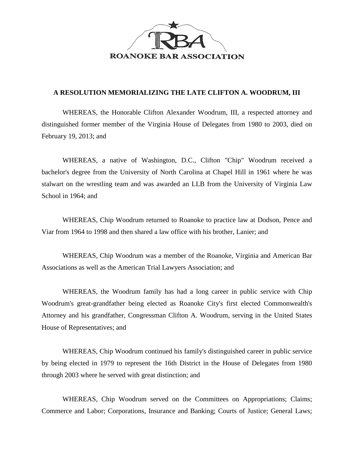

## **A RESOLUTION MEMORIALIZING THE LATE CLIFTON A. WOODRUM, III**

WHEREAS, the Honorable Clifton Alexander Woodrum, III, a respected attorney and distinguished former member of the Virginia House of Delegates from 1980 to 2003, died on February 19, 2013; and

WHEREAS, a native of Washington, D.C., Clifton "Chip" Woodrum received a bachelor's degree from the University of North Carolina at Chapel Hill in 1961 where he was stalwart on the wrestling team and was awarded an LLB from the University of Virginia Law School in 1964; and

WHEREAS, Chip Woodrum returned to Roanoke to practice law at Dodson, Pence and Viar from 1964 to 1998 and then shared a law office with his brother, Lanier; and

WHEREAS, Chip Woodrum was a member of the Roanoke, Virginia and American Bar Associations as well as the American Trial Lawyers Association; and

WHEREAS, the Woodrum family has had a long career in public service with Chip Woodrum's great-grandfather being elected as Roanoke City's first elected Commonwealth's Attorney and his grandfather, Congressman Clifton A. Woodrum, serving in the United States House of Representatives; and

WHEREAS, Chip Woodrum continued his family's distinguished career in public service by being elected in 1979 to represent the 16th District in the House of Delegates from 1980 through 2003 where he served with great distinction; and

WHEREAS, Chip Woodrum served on the Committees on Appropriations; Claims; Commerce and Labor; Corporations, Insurance and Banking; Courts of Justice; General Laws;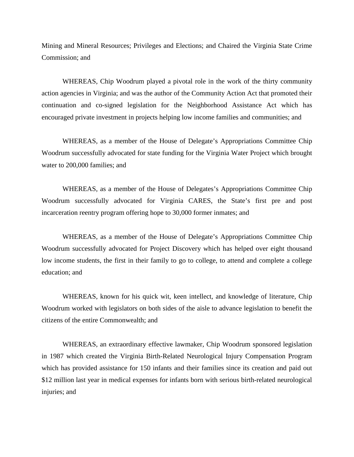Mining and Mineral Resources; Privileges and Elections; and Chaired the Virginia State Crime Commission; and

WHEREAS, Chip Woodrum played a pivotal role in the work of the thirty community action agencies in Virginia; and was the author of the Community Action Act that promoted their continuation and co-signed legislation for the Neighborhood Assistance Act which has encouraged private investment in projects helping low income families and communities; and

WHEREAS, as a member of the House of Delegate's Appropriations Committee Chip Woodrum successfully advocated for state funding for the Virginia Water Project which brought water to 200,000 families; and

WHEREAS, as a member of the House of Delegates's Appropriations Committee Chip Woodrum successfully advocated for Virginia CARES, the State's first pre and post incarceration reentry program offering hope to 30,000 former inmates; and

WHEREAS, as a member of the House of Delegate's Appropriations Committee Chip Woodrum successfully advocated for Project Discovery which has helped over eight thousand low income students, the first in their family to go to college, to attend and complete a college education; and

WHEREAS, known for his quick wit, keen intellect, and knowledge of literature, Chip Woodrum worked with legislators on both sides of the aisle to advance legislation to benefit the citizens of the entire Commonwealth; and

WHEREAS, an extraordinary effective lawmaker, Chip Woodrum sponsored legislation in 1987 which created the Virginia Birth-Related Neurological Injury Compensation Program which has provided assistance for 150 infants and their families since its creation and paid out \$12 million last year in medical expenses for infants born with serious birth-related neurological injuries; and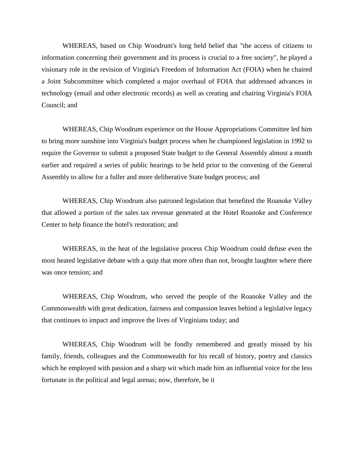WHEREAS, based on Chip Woodrum's long held belief that "the access of citizens to information concerning their government and its process is crucial to a free society", he played a visionary role in the revision of Virginia's Freedom of Information Act (FOIA) when he chaired a Joint Subcommittee which completed a major overhaul of FOIA that addressed advances in technology (email and other electronic records) as well as creating and chairing Virginia's FOIA Council; and

WHEREAS, Chip Woodrum experience on the House Appropriations Committee led him to bring more sunshine into Virginia's budget process when he championed legislation in 1992 to require the Governor to submit a proposed State budget to the General Assembly almost a month earlier and required a series of public hearings to be held prior to the convening of the General Assembly to allow for a fuller and more deliberative State budget process; and

WHEREAS, Chip Woodrum also patroned legislation that benefited the Roanoke Valley that allowed a portion of the sales tax revenue generated at the Hotel Roanoke and Conference Center to help finance the hotel's restoration; and

WHEREAS, in the heat of the legislative process Chip Woodrum could defuse even the most heated legislative debate with a quip that more often than not, brought laughter where there was once tension; and

WHEREAS, Chip Woodrum, who served the people of the Roanoke Valley and the Commonwealth with great dedication, fairness and compassion leaves behind a legislative legacy that continues to impact and improve the lives of Virginians today; and

WHEREAS, Chip Woodrum will be fondly remembered and greatly missed by his family, friends, colleagues and the Commonwealth for his recall of history, poetry and classics which he employed with passion and a sharp wit which made him an influential voice for the less fortunate in the political and legal arenas; now, therefore, be it